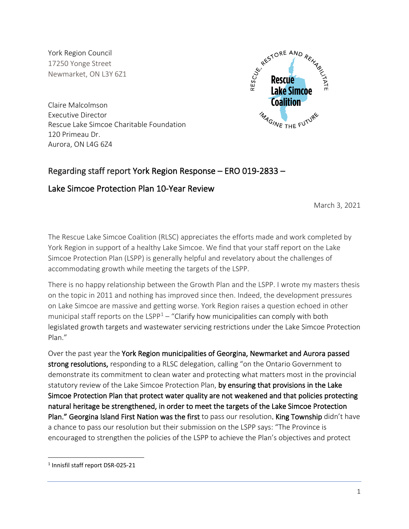York Region Council 17250 Yonge Street Newmarket, ON L3Y 6Z1



Claire Malcolmson Executive Director Rescue Lake Simcoe Charitable Foundation 120 Primeau Dr. Aurora, ON L4G 6Z4

# Regarding staff report York Region Response – ERO 019-2833 –

# Lake Simcoe Protection Plan 10-Year Review

March 3, 2021

The Rescue Lake Simcoe Coalition (RLSC) appreciates the efforts made and work completed by York Region in support of a healthy Lake Simcoe. We find that your staff report on the Lake Simcoe Protection Plan (LSPP) is generally helpful and revelatory about the challenges of accommodating growth while meeting the targets of the LSPP.

There is no happy relationship between the Growth Plan and the LSPP. I wrote my masters thesis on the topic in 2011 and nothing has improved since then. Indeed, the development pressures on Lake Simcoe are massive and getting worse. York Region raises a question echoed in other municipal staff reports on the  $LSPP<sup>1</sup>$  $LSPP<sup>1</sup>$  $LSPP<sup>1</sup>$  – "Clarify how municipalities can comply with both legislated growth targets and wastewater servicing restrictions under the Lake Simcoe Protection Plan."

Over the past year the York Region municipalities of Georgina, Newmarket and Aurora passed strong resolutions, responding to a RLSC delegation, calling "on the Ontario Government to demonstrate its commitment to clean water and protecting what matters most in the provincial statutory review of the Lake Simcoe Protection Plan, by ensuring that provisions in the Lake Simcoe Protection Plan that protect water quality are not weakened and that policies protecting natural heritage be strengthened, in order to meet the targets of the Lake Simcoe Protection Plan." Georgina Island First Nation was the first to pass our resolution. King Township didn't have a chance to pass our resolution but their submission on the LSPP says: "The Province is encouraged to strengthen the policies of the LSPP to achieve the Plan's objectives and protect

<span id="page-0-0"></span><sup>1</sup> Innisfil staff report DSR-025-21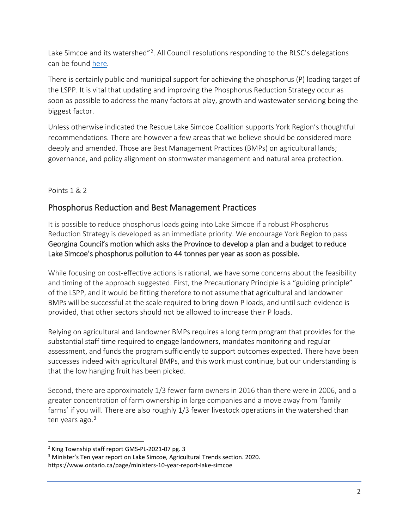Lake Simcoe and its watershed $^{2}$ ? All Council resolutions responding to the RLSC's delegations can be found here.

There is certainly public and municipal support for achieving the phosphorus (P) loading target of the LSPP. It is vital that updating and improving the Phosphorus Reduction Strategy occur as soon as possible to address the many factors at play, growth and wastewater servicing being the biggest factor.

Unless otherwise indicated the Rescue Lake Simcoe Coalition supports York Region's thoughtful recommendations. There are however a few areas that we believe should be considered more deeply and amended. Those are Best Management Practices (BMPs) on agricultural lands; governance, and policy alignment on stormwater management and natural area protection.

## Points 1 & 2

# Phosphorus Reduction and Best Management Practices

It is possible to reduce phosphorus loads going into Lake Simcoe if a robust Phosphorus Reduction Strategy is developed as an immediate priority. We encourage York Region to pass Georgina Council's motion which asks the Province to develop a plan and a budget to reduce Lake Simcoe's phosphorus pollution to 44 tonnes per year as soon as possible.

While focusing on cost-effective actions is rational, we have some concerns about the feasibility and timing of the approach suggested. First, the Precautionary Principle is a "guiding principle" of the LSPP, and it would be fitting therefore to not assume that agricultural and landowner BMPs will be successful at the scale required to bring down P loads, and until such evidence is provided, that other sectors should not be allowed to increase their P loads.

Relying on agricultural and landowner BMPs requires a long term program that provides for the substantial staff time required to engage landowners, mandates monitoring and regular assessment, and funds the program sufficiently to support outcomes expected. There have been successes indeed with agricultural BMPs, and this work must continue, but our understanding is that the low hanging fruit has been picked.

Second, there are approximately 1/3 fewer farm owners in 2016 than there were in 2006, and a greater concentration of farm ownership in large companies and a move away from 'family farms' if you will. There are also roughly 1/3 fewer livestock operations in the watershed than ten years ago.<sup>[3](#page-1-1)</sup>

<span id="page-1-0"></span><sup>&</sup>lt;sup>2</sup> King Township staff report GMS-PL-2021-07 pg. 3

<span id="page-1-1"></span><sup>&</sup>lt;sup>3</sup> Minister's Ten year report on Lake Simcoe, Agricultural Trends section. 2020. https://www.ontario.ca/page/ministers-10-year-report-lake-simcoe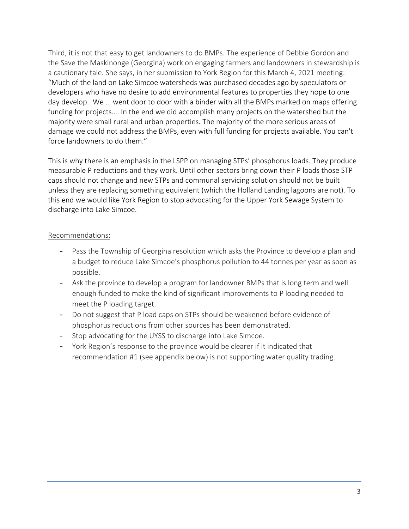Third, it is not that easy to get landowners to do BMPs. The experience of Debbie Gordon and the Save the Maskinonge (Georgina) work on engaging farmers and landowners in stewardship is a cautionary tale. She says, in her submission to York Region for this March 4, 2021 meeting: "Much of the land on Lake Simcoe watersheds was purchased decades ago by speculators or developers who have no desire to add environmental features to properties they hope to one day develop. We … went door to door with a binder with all the BMPs marked on maps offering funding for projects…. In the end we did accomplish many projects on the watershed but the majority were small rural and urban properties. The majority of the more serious areas of damage we could not address the BMPs, even with full funding for projects available. You can't force landowners to do them."

This is why there is an emphasis in the LSPP on managing STPs' phosphorus loads. They produce measurable P reductions and they work. Until other sectors bring down their P loads those STP caps should not change and new STPs and communal servicing solution should not be built unless they are replacing something equivalent (which the Holland Landing lagoons are not). To this end we would like York Region to stop advocating for the Upper York Sewage System to discharge into Lake Simcoe.

#### Recommendations:

- Pass the Township of Georgina resolution which asks the Province to develop a plan and a budget to reduce Lake Simcoe's phosphorus pollution to 44 tonnes per year as soon as possible.
- Ask the province to develop a program for landowner BMPs that is long term and well enough funded to make the kind of significant improvements to P loading needed to meet the P loading target.
- Do not suggest that P load caps on STPs should be weakened before evidence of phosphorus reductions from other sources has been demonstrated.
- Stop advocating for the UYSS to discharge into Lake Simcoe.
- York Region's response to the province would be clearer if it indicated that recommendation #1 (see appendix below) is not supporting water quality trading.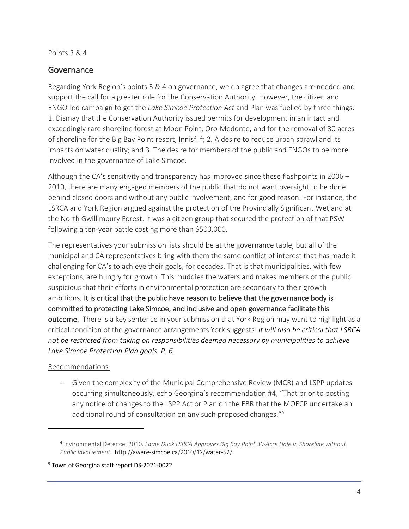#### Points 3 & 4

## **Governance**

Regarding York Region's points 3 & 4 on governance, we do agree that changes are needed and support the call for a greater role for the Conservation Authority. However, the citizen and ENGO-led campaign to get the *Lake Simcoe Protection Act* and Plan was fuelled by three things: 1. Dismay that the Conservation Authority issued permits for development in an intact and exceedingly rare shoreline forest at Moon Point, Oro-Medonte, and for the removal of 30 acres of shoreline for the Big Bay Point resort, Innisfil<sup>4</sup>; 2. A desire to reduce urban sprawl and its impacts on water quality; and 3. The desire for members of the public and ENGOs to be more involved in the governance of Lake Simcoe.

Although the CA's sensitivity and transparency has improved since these flashpoints in 2006 – 2010, there are many engaged members of the public that do not want oversight to be done behind closed doors and without any public involvement, and for good reason. For instance, the LSRCA and York Region argued against the protection of the Provincially Significant Wetland at the North Gwillimbury Forest. It was a citizen group that secured the protection of that PSW following a ten-year battle costing more than \$500,000.

The representatives your submission lists should be at the governance table, but all of the municipal and CA representatives bring with them the same conflict of interest that has made it challenging for CA's to achieve their goals, for decades. That is that municipalities, with few exceptions, are hungry for growth. This muddies the waters and makes members of the public suspicious that their efforts in environmental protection are secondary to their growth ambitions. It is critical that the public have reason to believe that the governance body is committed to protecting Lake Simcoe, and inclusive and open governance facilitate this outcome. There is a key sentence in your submission that York Region may want to highlight as a critical condition of the governance arrangements York suggests: *It will also be critical that LSRCA not be restricted from taking on responsibilities deemed necessary by municipalities to achieve Lake Simcoe Protection Plan goals. P. 6.* 

#### Recommendations:

- Given the complexity of the Municipal Comprehensive Review (MCR) and LSPP updates occurring simultaneously, echo Georgina's recommendation #4, "That prior to posting any notice of changes to the LSPP Act or Plan on the EBR that the MOECP undertake an additional round of consultation on any such proposed changes."[5](#page-3-1)

<sup>4</sup> Environmental Defence. 2010. *Lame Duck LSRCA Approves Big Bay Point 30-Acre Hole in Shoreline without Public Involvement.* http://aware-simcoe.ca/2010/12/water-52/

<span id="page-3-1"></span><span id="page-3-0"></span><sup>5</sup> Town of Georgina staff report DS-2021-0022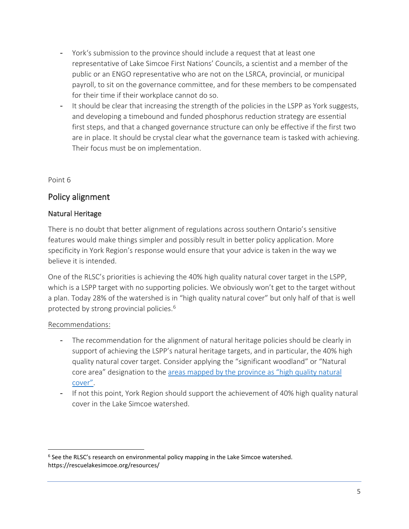- York's submission to the province should include a request that at least one representative of Lake Simcoe First Nations' Councils, a scientist and a member of the public or an ENGO representative who are not on the LSRCA, provincial, or municipal payroll, to sit on the governance committee, and for these members to be compensated for their time if their workplace cannot do so.
- It should be clear that increasing the strength of the policies in the LSPP as York suggests, and developing a timebound and funded phosphorus reduction strategy are essential first steps, and that a changed governance structure can only be effective if the first two are in place. It should be crystal clear what the governance team is tasked with achieving. Their focus must be on implementation.

Point 6

## Policy alignment

### Natural Heritage

There is no doubt that better alignment of regulations across southern Ontario's sensitive features would make things simpler and possibly result in better policy application. More specificity in York Region's response would ensure that your advice is taken in the way we believe it is intended.

One of the RLSC's priorities is achieving the 40% high quality natural cover target in the LSPP, which is a LSPP target with no supporting policies. We obviously won't get to the target without a plan. Today 28% of the watershed is in "high quality natural cover" but only half of that is well protected by strong provincial policies. [6](#page-4-0)

#### Recommendations:

- The recommendation for the alignment of natural heritage policies should be clearly in support of achieving the LSPP's natural heritage targets, and in particular, the 40% high quality natural cover target. Consider applying the "significant woodland" or "Natural core area" designation to the [areas mapped by the province as "high quality natural](https://rescuelakesimcoe.org/wp-content/uploads/2019/05/HighQualityNaturalCover_Final.pdf)  [cover".](https://rescuelakesimcoe.org/wp-content/uploads/2019/05/HighQualityNaturalCover_Final.pdf)
- If not this point, York Region should support the achievement of 40% high quality natural cover in the Lake Simcoe watershed.

<span id="page-4-0"></span><sup>&</sup>lt;sup>6</sup> See the RLSC's research on environmental policy mapping in the Lake Simcoe watershed. https://rescuelakesimcoe.org/resources/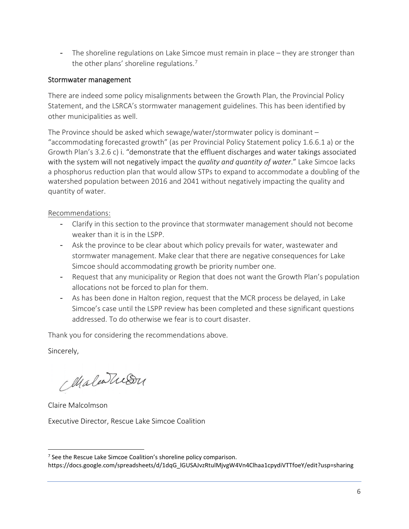- The shoreline regulations on Lake Simcoe must remain in place – they are stronger than the other plans' shoreline regulations.<sup>[7](#page-5-0)</sup>

#### Stormwater management

There are indeed some policy misalignments between the Growth Plan, the Provincial Policy Statement, and the LSRCA's stormwater management guidelines. This has been identified by other municipalities as well.

The Province should be asked which sewage/water/stormwater policy is dominant – "accommodating forecasted growth" (as per Provincial Policy Statement policy 1.6.6.1 a) or the Growth Plan's 3.2.6 c) i. "demonstrate that the effluent discharges and water takings associated with the system will not negatively impact the *quality and quantity of water*." Lake Simcoe lacks a phosphorus reduction plan that would allow STPs to expand to accommodate a doubling of the watershed population between 2016 and 2041 without negatively impacting the quality and quantity of water.

### Recommendations:

- Clarify in this section to the province that stormwater management should not become weaker than it is in the LSPP.
- Ask the province to be clear about which policy prevails for water, wastewater and stormwater management. Make clear that there are negative consequences for Lake Simcoe should accommodating growth be priority number one.
- Request that any municipality or Region that does not want the Growth Plan's population allocations not be forced to plan for them.
- As has been done in Halton region, request that the MCR process be delayed, in Lake Simcoe's case until the LSPP review has been completed and these significant questions addressed. To do otherwise we fear is to court disaster.

Thank you for considering the recommendations above.

Sincerely,

Maleatuson

Claire Malcolmson

Executive Director, Rescue Lake Simcoe Coalition

<span id="page-5-0"></span><sup>&</sup>lt;sup>7</sup> See the Rescue Lake Simcoe Coalition's shoreline policy comparison.

https://docs.google.com/spreadsheets/d/1dqG\_lGUSAJvzRtulMjvgW4Vn4Clhaa1cpydiVTTfoeY/edit?usp=sharing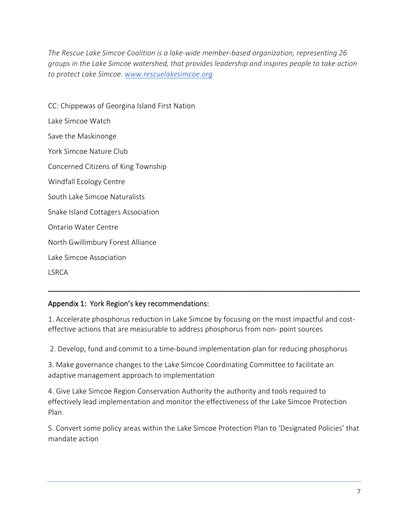*The Rescue Lake Simcoe Coalition is a lake-wide member-based organization, representing 26 groups in the Lake Simcoe watershed, that provides leadership and inspires people to take action to protect Lake Simcoe. [www.rescuelakesimcoe.org](http://www.rescuelakesimcoe.org/)*

CC: Chippewas of Georgina Island First Nation Lake Simcoe Watch Save the Maskinonge York Simcoe Nature Club Concerned Citizens of King Township Windfall Ecology Centre South Lake Simcoe Naturalists Snake Island Cottagers Association Ontario Water Centre North Gwillimbury Forest Alliance Lake Simcoe Association

LSRCA

### Appendix 1: York Region's key recommendations:

1. Accelerate phosphorus reduction in Lake Simcoe by focusing on the most impactful and costeffective actions that are measurable to address phosphorus from non- point sources

\_\_\_\_\_\_\_\_\_\_\_\_\_\_\_\_\_\_\_\_\_\_\_\_\_\_\_\_\_\_\_\_\_\_\_\_\_\_\_\_\_\_\_\_\_\_\_\_\_\_\_\_\_\_\_\_\_\_\_\_\_\_\_\_\_\_\_\_\_\_\_\_\_\_\_\_\_\_

2. Develop, fund and commit to a time-bound implementation plan for reducing phosphorus

3. Make governance changes to the Lake Simcoe Coordinating Committee to facilitate an adaptive management approach to implementation

4. Give Lake Simcoe Region Conservation Authority the authority and tools required to effectively lead implementation and monitor the effectiveness of the Lake Simcoe Protection Plan

5. Convert some policy areas within the Lake Simcoe Protection Plan to 'Designated Policies' that mandate action